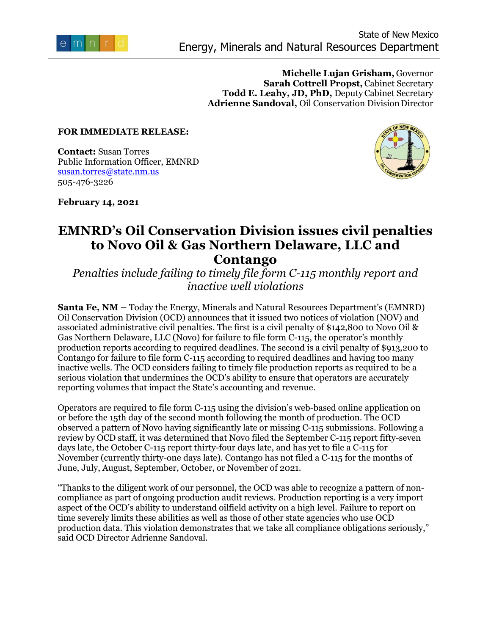

**Michelle Lujan Grisham,** Governor **Sarah Cottrell Propst,** Cabinet Secretary **Todd E. Leahy, JD, PhD,** Deputy Cabinet Secretary Adrienne Sandoval, Oil Conservation Division Director

## **FOR IMMEDIATE RELEASE:**

**Contact:** Susan Torres Public Information Officer, EMNRD [susan.torres@state.nm.us](mailto:susan.torres@state.nm.us) 505-476-3226



**February 14, 2021**

## **EMNRD's Oil Conservation Division issues civil penalties to Novo Oil & Gas Northern Delaware, LLC and Contango**

*Penalties include failing to timely file form C-115 monthly report and inactive well violations*

**Santa Fe, NM –** Today the Energy, Minerals and Natural Resources Department's (EMNRD) Oil Conservation Division (OCD) announces that it issued two notices of violation (NOV) and associated administrative civil penalties. The first is a civil penalty of \$142,800 to Novo Oil & Gas Northern Delaware, LLC (Novo) for failure to file form C-115, the operator's monthly production reports according to required deadlines. The second is a civil penalty of \$913,200 to Contango for failure to file form C-115 according to required deadlines and having too many inactive wells. The OCD considers failing to timely file production reports as required to be a serious violation that undermines the OCD's ability to ensure that operators are accurately reporting volumes that impact the State's accounting and revenue.

Operators are required to file form C-115 using the division's web-based online application on or before the 15th day of the second month following the month of production. The OCD observed a pattern of Novo having significantly late or missing C-115 submissions. Following a review by OCD staff, it was determined that Novo filed the September C-115 report fifty-seven days late, the October C-115 report thirty-four days late, and has yet to file a C-115 for November (currently thirty-one days late). Contango has not filed a C-115 for the months of June, July, August, September, October, or November of 2021.

"Thanks to the diligent work of our personnel, the OCD was able to recognize a pattern of noncompliance as part of ongoing production audit reviews. Production reporting is a very import aspect of the OCD's ability to understand oilfield activity on a high level. Failure to report on time severely limits these abilities as well as those of other state agencies who use OCD production data. This violation demonstrates that we take all compliance obligations seriously," said OCD Director Adrienne Sandoval.